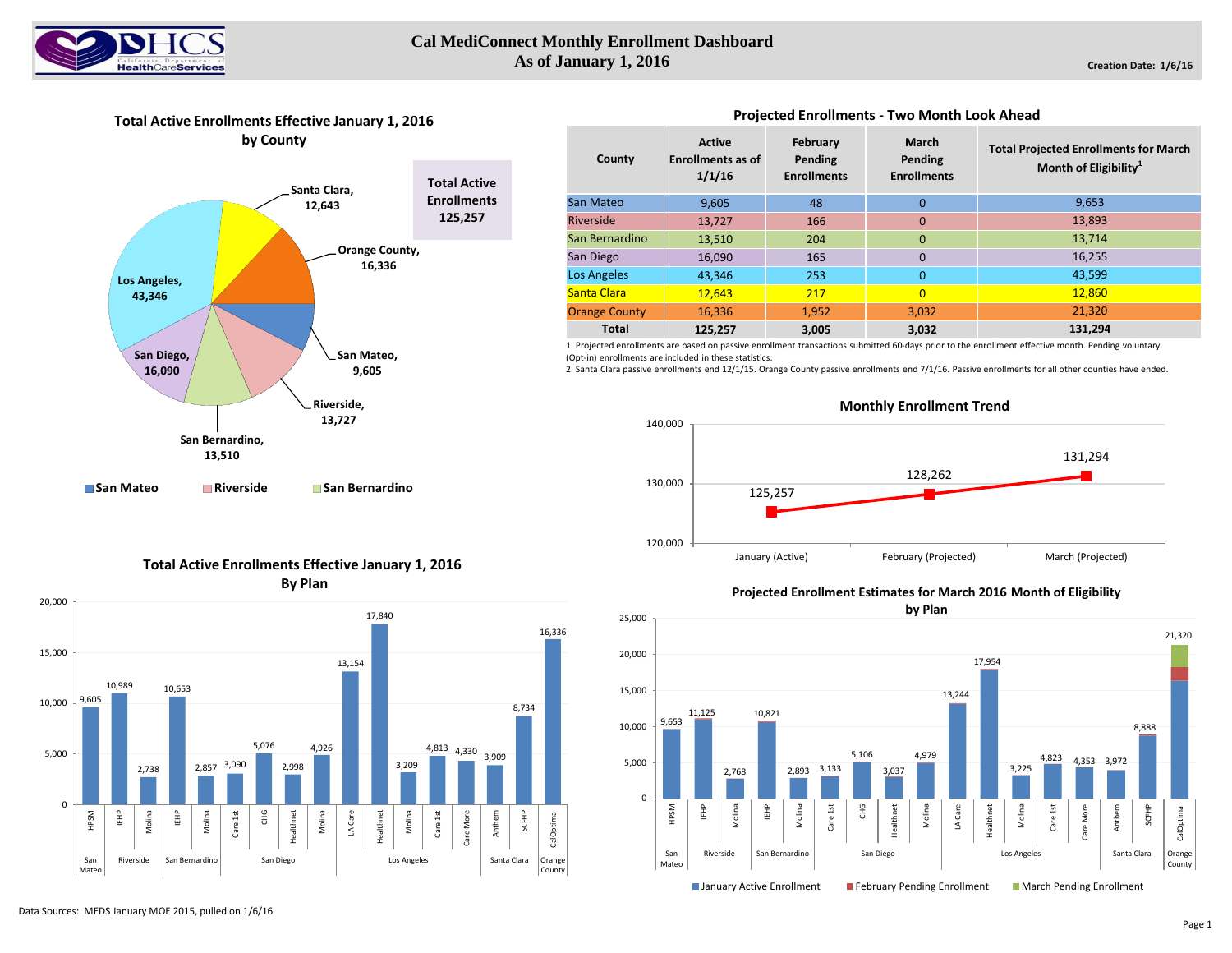

# **Cal MediConnect Monthly Enrollment Dashboard As of January 1, 2016**

## **Total Active Enrollments Effective January 1, 2016 by County**



#### **Active Enrollments as of 1/1/16 February Pending Enrollments March Pending Enrollments** 9,605 48 0 13,727 166 0 13,510 204 0 16,090 165 0 43,346 253 0 12,643 217 0 **Orange County 16,336 1,952 1,952 3,032 125,257 3,005 3,032** Los Angeles **Total County** San Mateo Riverside San Bernardino San Diego Santa Clara **Total Projected Enrollments for March Month of Eligibility<sup>1</sup>** 9,653 13,893 13,714 16,255 43,599 **131,294** 12,860 21,320

**Projected Enrollments - Two Month Look Ahead** 

1. Projected enrollments are based on passive enrollment transactions submitted 60-days prior to the enrollment effective month. Pending voluntary (Opt-in) enrollments are included in these statistics.

2. Santa Clara passive enrollments end 12/1/15. Orange County passive enrollments end 7/1/16. Passive enrollments for all other counties have ended.



### **Total Active Enrollments Effective January 1, 2016 By Plan**



### **Projected Enrollment Estimates for March 2016 Month of Eligibility**



### Data Sources: MEDS January MOE 2015, pulled on 1/6/16